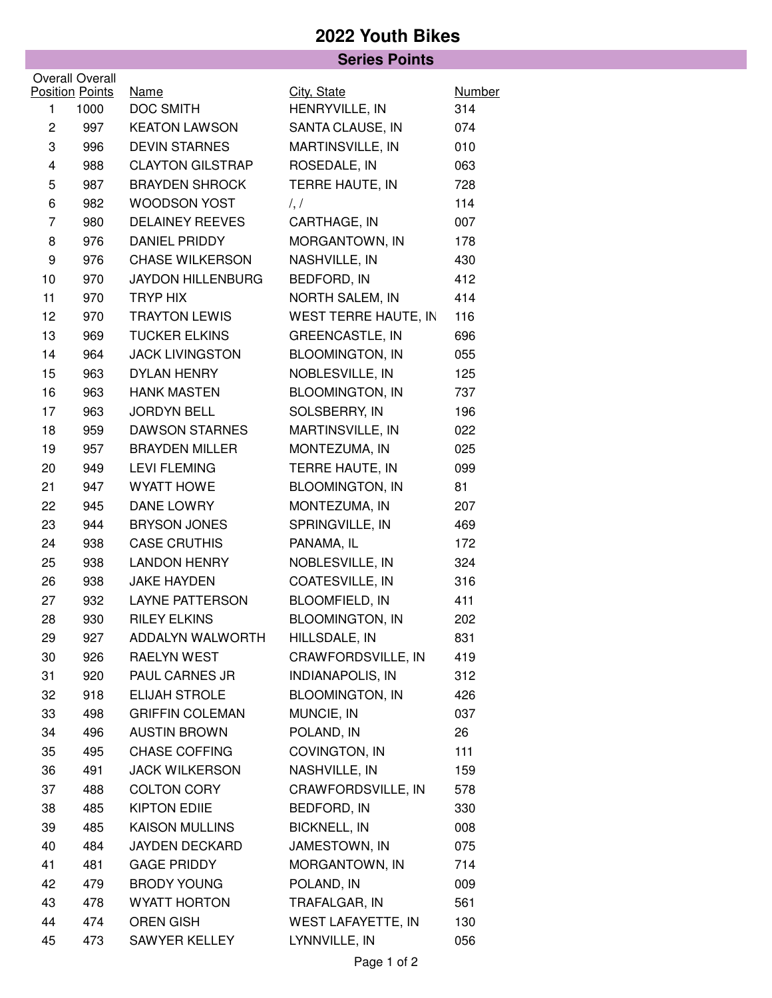## **2022 Youth Bikes**

|                |                        | <b>Series Points</b>     |                           |        |  |
|----------------|------------------------|--------------------------|---------------------------|--------|--|
|                | Overall Overall        |                          |                           |        |  |
|                | <b>Position Points</b> | <b>Name</b>              | City, State               | Number |  |
| $\mathbf{1}$   | 1000                   | DOC SMITH                | HENRYVILLE, IN            | 314    |  |
| $\overline{c}$ | 997                    | <b>KEATON LAWSON</b>     | SANTA CLAUSE, IN          | 074    |  |
| 3              | 996                    | <b>DEVIN STARNES</b>     | MARTINSVILLE, IN          | 010    |  |
| 4              | 988                    | <b>CLAYTON GILSTRAP</b>  | ROSEDALE, IN              | 063    |  |
| 5              | 987                    | <b>BRAYDEN SHROCK</b>    | TERRE HAUTE, IN           | 728    |  |
| 6              | 982                    | <b>WOODSON YOST</b>      | $\frac{1}{2}$             | 114    |  |
| $\overline{7}$ | 980                    | <b>DELAINEY REEVES</b>   | CARTHAGE, IN              | 007    |  |
| 8              | 976                    | DANIEL PRIDDY            | MORGANTOWN, IN            | 178    |  |
| 9              | 976                    | <b>CHASE WILKERSON</b>   | NASHVILLE, IN             | 430    |  |
| 10             | 970                    | <b>JAYDON HILLENBURG</b> | BEDFORD, IN               | 412    |  |
| 11             | 970                    | TRYP HIX                 | NORTH SALEM, IN           | 414    |  |
| 12             | 970                    | <b>TRAYTON LEWIS</b>     | WEST TERRE HAUTE, IN      | 116    |  |
| 13             | 969                    | <b>TUCKER ELKINS</b>     | GREENCASTLE, IN           | 696    |  |
| 14             | 964                    | <b>JACK LIVINGSTON</b>   | <b>BLOOMINGTON, IN</b>    | 055    |  |
| 15             | 963                    | DYLAN HENRY              | NOBLESVILLE, IN           | 125    |  |
| 16             | 963                    | <b>HANK MASTEN</b>       | <b>BLOOMINGTON, IN</b>    | 737    |  |
| 17             | 963                    | <b>JORDYN BELL</b>       | SOLSBERRY, IN             | 196    |  |
| 18             | 959                    | <b>DAWSON STARNES</b>    | MARTINSVILLE, IN          | 022    |  |
| 19             | 957                    | <b>BRAYDEN MILLER</b>    | MONTEZUMA, IN             | 025    |  |
| 20             | 949                    | <b>LEVI FLEMING</b>      | TERRE HAUTE, IN           | 099    |  |
| 21             | 947                    | <b>WYATT HOWE</b>        | <b>BLOOMINGTON, IN</b>    | 81     |  |
| 22             | 945                    | DANE LOWRY               | MONTEZUMA, IN             | 207    |  |
| 23             | 944                    | BRYSON JONES             | SPRINGVILLE, IN           | 469    |  |
| 24             | 938                    | <b>CASE CRUTHIS</b>      | PANAMA, IL                | 172    |  |
| 25             | 938                    | <b>LANDON HENRY</b>      | NOBLESVILLE, IN           | 324    |  |
| 26             | 938                    | <b>JAKE HAYDEN</b>       | COATESVILLE, IN           | 316    |  |
| 27             | 932                    | <b>LAYNE PATTERSON</b>   | <b>BLOOMFIELD, IN</b>     | 411    |  |
| 28             | 930                    | <b>RILEY ELKINS</b>      | <b>BLOOMINGTON, IN</b>    | 202    |  |
| 29             | 927                    | ADDALYN WALWORTH         | HILLSDALE, IN             | 831    |  |
| 30             | 926                    | RAELYN WEST              | CRAWFORDSVILLE, IN        | 419    |  |
| 31             | 920                    | PAUL CARNES JR           | <b>INDIANAPOLIS, IN</b>   | 312    |  |
| 32             | 918                    | ELIJAH STROLE            | <b>BLOOMINGTON, IN</b>    | 426    |  |
| 33             | 498                    | <b>GRIFFIN COLEMAN</b>   | MUNCIE, IN                | 037    |  |
| 34             | 496                    | <b>AUSTIN BROWN</b>      | POLAND, IN                | 26     |  |
| 35             | 495                    | <b>CHASE COFFING</b>     | COVINGTON, IN             | 111    |  |
| 36             | 491                    | <b>JACK WILKERSON</b>    | NASHVILLE, IN             | 159    |  |
| 37             | 488                    | <b>COLTON CORY</b>       | CRAWFORDSVILLE, IN        | 578    |  |
| 38             | 485                    | <b>KIPTON EDIIE</b>      | BEDFORD, IN               | 330    |  |
| 39             | 485                    | <b>KAISON MULLINS</b>    | <b>BICKNELL, IN</b>       | 008    |  |
| 40             | 484                    | JAYDEN DECKARD           | JAMESTOWN, IN             | 075    |  |
| 41             | 481                    | <b>GAGE PRIDDY</b>       | MORGANTOWN, IN            | 714    |  |
| 42             | 479                    | <b>BRODY YOUNG</b>       | POLAND, IN                | 009    |  |
| 43             | 478                    | WYATT HORTON             | TRAFALGAR, IN             | 561    |  |
| 44             | 474                    | <b>OREN GISH</b>         | <b>WEST LAFAYETTE, IN</b> | 130    |  |
| 45             | 473                    | SAWYER KELLEY            | LYNNVILLE, IN             | 056    |  |